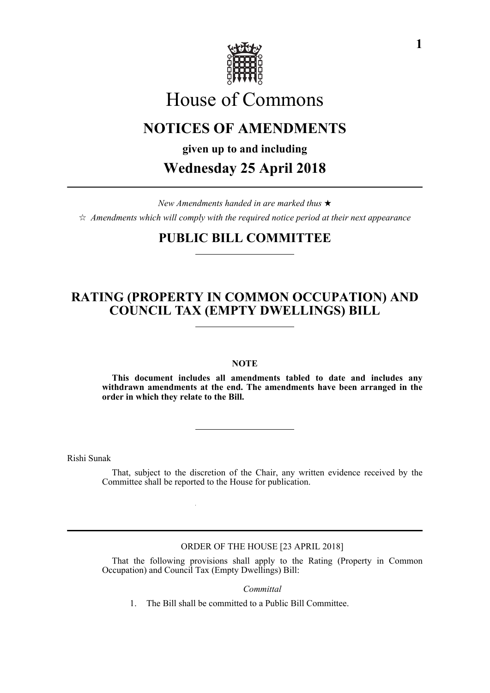

# House of Commons

## **NOTICES OF AMENDMENTS**

**given up to and including**

# **Wednesday 25 April 2018**

*New Amendments handed in are marked thus*   $\hat{\varphi}$  Amendments which will comply with the required notice period at their next appearance

### **PUBLIC BILL COMMITTEE**

### **RATING (PROPERTY IN COMMON OCCUPATION) AND COUNCIL TAX (EMPTY DWELLINGS) BILL**

#### **NOTE**

**This document includes all amendments tabled to date and includes any withdrawn amendments at the end. The amendments have been arranged in the order in which they relate to the Bill.**

Rishi Sunak

That, subject to the discretion of the Chair, any written evidence received by the Committee shall be reported to the House for publication.

ORDER OF THE HOUSE [23 APRIL 2018]

That the following provisions shall apply to the Rating (Property in Common Occupation) and Council Tax (Empty Dwellings) Bill:

*Committal*

1. The Bill shall be committed to a Public Bill Committee.